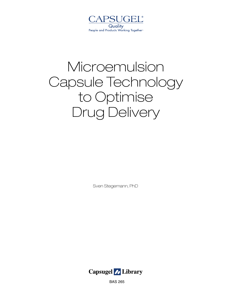

# Microemulsion Capsule Technology to Optimise Drug Delivery

Sven Stegemann, PhD



BAS 265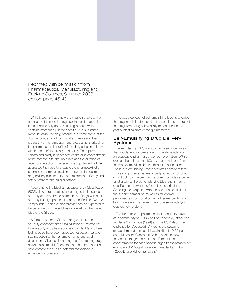Reprinted with permission from Pharmaceutical Manufacturing and Packing Sources, Summer 2003 edition, page 45-49

While it seems that a new drug launch draws all the attention to the specific drug substance, it is clear that the authorities only approve a drug product which contains more than just the specific drug substance alone. In reality, the drug product is a combination of the drug, a formulation of functional excipients and their processing. The formulation and processing is critical for the pharmacokinetic profile of the drug substance in vivo, which is part of its efficacy and safety. The optimal efficacy and safety is dependent on the drug concentration at the receptor site, the input rate and the duration of receptor interaction. In a recent draft guideline the FDA addresses the need to evaluate the pharmacokineticpharmacodynamic correlation to develop the optimal drug delivery system in terms of maximised efficacy and safety profile for the drug substance<sup>1</sup>.

According to the Biopharmaceutics Drug Classification (BCS), drugs are classified according to their aqueous solubility and membrane permeability<sup>2</sup>. Drugs with poor solubility but high permeability are classified as 'Class 2' compounds. Their oral bioavailability can be expected to be dependent on the solubilisation kinetic in the gastric juice of the GI tract.

A formulation for a 'Class 2' drug will focus on solubility enhancement or solubilisation to improve the bioavailability and pharmacokinetic profile. Many different technologies have been proposed, especially particle size reduction to the nanometer range and solid dispersions. About a decade ago, selfemulsifying drug delivery systems (DDS) entered into the pharmaceutical development scene as a potential technology to enhance oral bioavailability.

The basic concept of self-emulsifying DDS is to deliver the drug in solution to the site of absorption or to protect the drug from being substantially metabolised in the gastro-intestinal tract or the gut membrane.

#### Self-Emulsifying Drug Delivery Systems

Self-emulsifying DDS are isotropic pre-concentrates that spontaneously form a fine oil in water emulsions in an aqueous environment under gentle agitation. With a droplet size of less than 100µm, microemulsions form thermodynamically stable translucent, clear solutions. These self-emulsifying preconcentrates consist of three to five components that might be lipophilic, amphiphilic or hydrophilic in nature. Each excipient provides a certain functionality to the self-emulsifying DDS and is mainly classified as a solvent, surfactant or cosurfactant. Selecting the excipients with the best characteristics for the specific compound as well as for optimal performance in combination with other excipients, is a key challenge in the development of a self-emulsifying drug delivery system.

The first marketed pharmaceutical product formulated as a selfemulsifying DDS was Cyclosporin A, introduced as Neoral™ in Europe (1994) and the US (1995). The challenge for Cyclosporin A was its pre-systemic metabolism and absolute bioavailability of 10-60 per cent. Moreover, Cyclosporin A has a very narrow therapeutic range and requires different blood concentrations for each specific organ transplantation (for example 250-350µg/L for a liver transplant and 80- 120 $\mu$ g/L for a kidney transplant)<sup>3</sup>.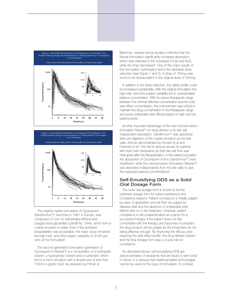



The original market formulation of Cyclosporin (Sandimmun<sup>™</sup>), launched in 1981 in Europe, was composed of corn oil, dehydrated ethanol and polyglycolzed glycerides (Labrafil M, 1944), which form a coarse emulsion in water. Even if the achieved bioavailability was acceptable, the major issue remained the high inter- and intra-subject variability of 20-60 per cent of this formulation.

The second generation formulation generation of Cyclosporin A (Neoral™) is a composition of a hydrophilic solvent, a hydrophobic solvent and a surfactant, which forms a micro-emulsion with a droplet size of less than 100nm in gastric fluid. As reviewed by Friman &

Bäckman, several clinical studies confirmed that the Neoral formulation significantly increases absorption, which was reflected in the increased Cmax and AUC, while the tmax decreased<sup>s</sup>. One of the major results of this formulation optimisation led to the desirable dose reduction (see Figure 1 and 2). A dose of 180mg was found to be bioequivalent to the original dose of 300mg.

In addition to the dose reduction, the safety profile could be increased substantially. With the original formulation the high inter- and intra-subject variability led to unpredictable plasma concentration. With its narrow therapeutic range between the minimal effective concentration and the toxic side effect concentration, this improvement was critical to maintain the drug concentration in the therapeutic range and avoid undesirable side effects based on high and low plasma levels<sup>4</sup>.

Another important advantage of the new microemulsion formulation Neoral™ for drug delivery is its bile salt independent absorption. Sandimmun™ was absorbed after pre-digestion of the coarse emulsion by the bile salts. And as demonstrated by Kovarik et al and Freeman et al<sup>4,5</sup> this led to serious issues for patients with fresh liver transplants as their bile salt flow was interrupted after the transplantation. In this patient population the absorption of Cyclosporin A from Sandimmun™) was insufficient, while the mircoemulsion formulation (Neoral™) was absorbed independently from the bile salts to give the expected plasma concentrations<sup>5</sup>.

#### Self-Emulsifying DDS as a Solid Oral Dosage Form

The solid oral dosage form is known to be the preferred dosage form for patient preference and compliance reasons. Patient compliance is initially judged by ease of application and will then be judged by disease relief and the absence of undesirable side effects later on in the treatment. However, patient compliance is still underestimated as a factor for a successful therapy. If the patient does not feel comfortable with the therapy and becomes incompliant, the drug product will be judged by the physicians as not being effective enough. By improving the efficacy and reducing the side effect profile, the drug delivery system and the final dosage form play a crucial role for compliance.

As described above, self-emulsifying DDS are preconcentrates of excipients that are liquid or semi-solid in nature. It is obvious that traditional tablet technologies cannot be used for this type of formulation. In contrast,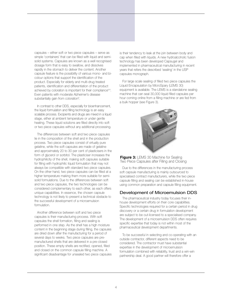capsules – either soft or two piece capsules – serve as simple 'containers' that can be filled with liquid and semisolid systems. Capsules are known as a well recognised dosage form that is easy to swallow, and dissolves rapidly in the stomach to deliver the content. Another capsule feature is the possibility of various mono- and bicolour options that support the identification of the product. Especially for elderly and multi-drug treated patients, identification and differentiation of the product achieved by coloration is important for their compliance<sup>6-8</sup>. Even patients with moderate Alzheimer's disease substantially gain from coloration<sup>9</sup>.

In contrast to other DDS, especially for bioenhancement, the liquid formulation and filling technology is an easy scalable process. Excipients and drugs are mixed in a liquid stage, either at ambient temperature or under gentle heating. These liquid solutions are filled directly into soft or two piece capsules without any additional processing.

The differences between soft and two piece capsules lie in the composition of the shell and in the production process. Two piece capsules consist of virtually pure gelatine, while the soft capsules are made of gelatine and approximately 20 to 30 per cent of plasticisers in the form of glycerol or sorbitol. The plasticiser increases the hydrophilicity of the shell, making soft capsules suitable for filling with hydrophilic liquid formulation that may not always be compatible with standard two piece capsules. On the other hand, two piece capsules can be filled at a higher temperature making them more suitable for semisolid formulations. Due to the differences between soft and two piece capsules, the two technologies can be considered complementary to each other, as each offers unique capabilities. In essence, the chosen capsule technology is not likely to present a technical obstacle to the successful development of a microemulsion formulation.

Another difference between soft and two piece capsules is their manufacturing process. With soft capsules the shell formation, filling and sealing is performed in one step. As the shell has a high moisture content in the beginning stage during filling, the capsules are dried down after the manufacturing for a period of several days to weeks. Two piece capsules are premanufactured shells that are delivered in a pre-closed position. These empty shells are rectified, opened, filled and closed on the common capsule filling machine. A significant disadvantage for unsealed two piece capsules is their tendency to leak at the join between body and cap when filled with liquids. A new hydroalcoholic fusion technology has been developed Capsugel and implemented in pharmaceutical manufacturing in recent years that refers the described 'sealing' in the USP capsules monograph.

For large scale sealing of filled two piece capsules the Liquid Encapsulation by MicroSpary (LEMS 30) equipment is available. The LEMS is a standalone sealing machine that can seal 30,000 liquid filled capsules per hour coming online from a filling machine or are fed from a bulk hopper (see Figure 3).



**Figure 3:** LEMS 30 Machine for Sealing Two Piece Capsules after Filling and Closing

Due to the differences in the manufacturing process soft capsule manufacturing is mainly outsourced to specialised contract manufacturers, while the two piece capsule filling and sealing can be established in-house using common preparation and capsule filling equipment.

#### Development of Microemulsion DDS

The pharmaceutical industry today focuses their inhouse development efforts on their core capabilities. Specific technologies required for a certain period in drug discovery or a certain drug in formulation development are subject to be out-licensed to a specialised company. The development of a microemulsion DDS often requires specific expertise that today is not within most of the pharmaceutical development departments.

To be successful in selecting and co-operating with an outside contractor, different aspects need to be considered. The contractor must have substantial expertise in the development of microemulsion formulation combined with reliability, trust and a win-win partnership deal. A good partner will therefore offer a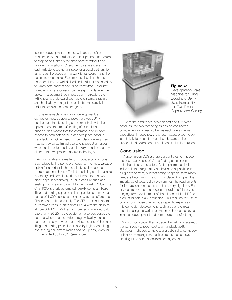focused development contract with clearly defined milestones. At each milestone, either partner can decide to stop or go further in the development without any long-term obligations. Often, the costs associated with each milestone are not an issue for a good partnership, as long as the scope of the work is transparent and the costs are reasonable. Even more critical than the cost considerations is a well-defined and realistic time schedule to which both partners should be committed. Other key ingredients for a successful partnership include: effective project-management, continuous communication, the willingness to understand each other's internal structure, and the flexibility to adjust the project's plan quickly in order to achieve the common goals.

To save valuable time in drug development, a contractor must be able to rapidly provide cGMP batches for stability testing and clinical trials with the option of contract manufacturing after the launch. In principle, this means that the contractor should offer access to both soft capsule and two piece capsule manufacturing. Otherwise, microemulsion development may be viewed as limited due to encapsulation issues, which, as indicated earlier, could likely be addressed by either of the two proven capsule technologies.

As trust is always a matter of choice, a contractor is also judged by his portfolio of options. The most valuable option for a partner is the possibility to develop the microemulsion in-house. To fill the existing gap in suitable laboratory and semi-industrial equipment for the two piece capsule technology, a liquid capsule filling and sealing machine was brought to the market in 2002. The CFS 1000 is a fully automated, cGMP compliant liquid filling and sealing equipment that operates at a maximum speed of 1,000 capsules per hour, which is sufficient for Phase I and II clinical supply. The CFS 1000 can operate all common capsule sizes from 00el-4 with the ability to fill from 0.1-1.2ml. With a minimum recommended batch size of only 20-25ml, the equipment also addresses the need to wisely use the limited drug availability that is common in early development. Also, the use of the same filling and sealing principles utilised by high speed filling and sealing equipment makes scaling up easy even for hot melts filled up to 70°C (see Figure 4).



**Figure 4:** Development-Scale Machine for Filling Liquid and Semi-Solid Formulation into Two Piece Capsule and Sealing

Due to the differences between soft and two piece capsules, the two technologies can be considered complementary to each other, as each offers unique capabilities. In essence, the chosen capsule technology is not likely to present a technical obstacle to the successful development of a microemulsion formulation.

#### **Conclusion**

Microemulsion DDS are pre-concentrates to improve the pharmacokinetic of 'Class 2' drug substances to optimize efficacy and safety. As the pharmaceutical industry is focusing mainly on their core capabilities in drug development, subcontracting of special formulation needs is becoming more commonplace. And given the importance of today's drug programmes, the requirements for formulation contractors is set at a very high level. For any contractor, the challenge is to provide a full service ranging from development of the microemulsion DDS to product launch in a win-win deal. This requires the use of contractors whose offer includes specific expertise in microemulsion development, scaling up and clinical manufacturing, as well as provision of the technology for in-house development and commercial manufacturing.

Without such capabilities in place, the inability to scale-up the technology to reach cost and manufacturability standards might lead to the discontinuation of a technology option for promising new pipeline products before even entering into a contract development agreement.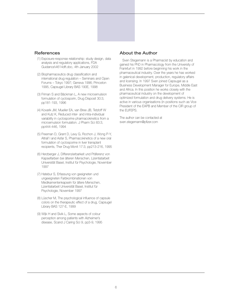### References

- (1) Exposure-response relationship: study design, data analysis and regulatory applications, FDA Guidance\4614dft.doc, 4th January 2002
- (2) Biopharmaceutics drug classification and international drug regulation – Seminars and Open Forums – Tokyo 1997; Geneva 1996; Princeton 1995, Capsugel Library BAS 190E, 1998
- (3) Friman S and Bäckman L, A new microemulsion formulation of cyclosporin, Drug Disposit 30:3, pp181-193, 1996
- (4) Kovarik JM, Mueller EA, van Bree JB, Tetzloff W and Kutz K, Reduced inter- and intra-individual variability in cyclosporine pharmacokinetics from a microemulsion formulation. J Pharm Sci 83:3, pp444-446, 1994
- (5) Freeman D, Grant D, Levy G, Rochon J, Wong P-Y, Altraif I and Asfar S, Pharmacokinetics of a new oral formulation of cyclosporine in liver transplant recipients, Ther Drug Monit 17:3, pp213-216, 1995
- (6) Herzberger J, Differenzierbarkeit und Präferenz von Kapselfarben bei älteren Menschen, Lizentiatarbeit Universität Basel, Institut für Psychologie, November 1997
- (7) Hatebur S, Erfassung von geeigneten und ungeeigneten Farbkombinationen von Medikamentenkapseln für ältere Menschen, Lizentiatarbeit Universität Basel, Institut für Psychologie, November 1997
- (8) Lüscher M, The psychological influence of capsule colors on the therapeutic effect of a drug, Capsugel Library BAS 127-E, 1999
- (9) Wijk H and Sivik L, Some aspects of colour perception among patients with Alzheimer's disease, Scand J Caring Sci 9, pp3-9, 1995

## About the Author

Sven Stegemann is a Pharmacist by education and gained his PhD in Pharmacology from the University of Frankfurt in 1992 before beginning his work in the pharmaceutical industry. Over the years he has worked in galenical development, production, regulatory affairs and licensing. In 1997 Sven joined Capsugel as a Business Development Manager for Europe, Middle East and Africa. In this position he works closely with the pharmaceutical industry on the development of optimized formulation and drug delivery systems. He is active in various organisations (in positions such as Vice President of the EAPB and Member of the CIR group of the EUFEPS.

The author can be contacted at sven.stegemann@pfizer.com